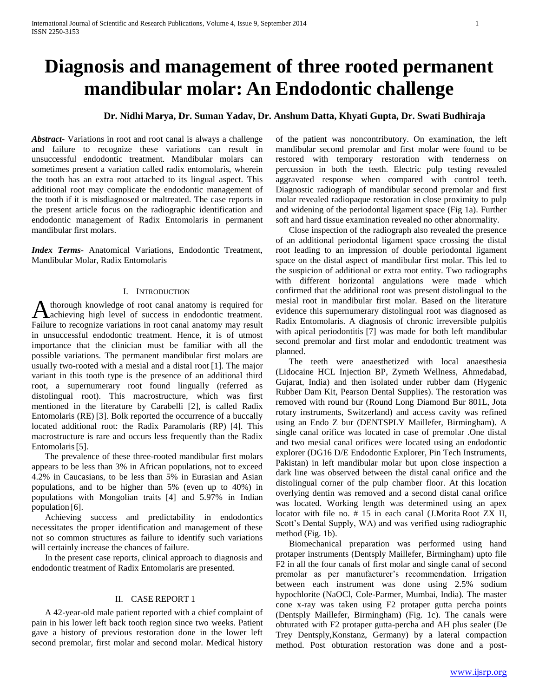# **Diagnosis and management of three rooted permanent mandibular molar: An Endodontic challenge**

# **Dr. Nidhi Marya, Dr. Suman Yadav, Dr. Anshum Datta, Khyati Gupta, Dr. Swati Budhiraja**

*Abstract***-** Variations in root and root canal is always a challenge and failure to recognize these variations can result in unsuccessful endodontic treatment. Mandibular molars can sometimes present a variation called radix entomolaris, wherein the tooth has an extra root attached to its lingual aspect. This additional root may complicate the endodontic management of the tooth if it is misdiagnosed or maltreated. The case reports in the present article focus on the radiographic identification and endodontic management of Radix Entomolaris in permanent mandibular first molars.

*Index Terms*- Anatomical Variations, Endodontic Treatment, Mandibular Molar, Radix Entomolaris

# I. INTRODUCTION

thorough knowledge of root canal anatomy is required for A thorough knowledge of root canal anatomy is required for<br>
achieving high level of success in endodontic treatment. Failure to recognize variations in root canal anatomy may result in unsuccessful endodontic treatment. Hence, it is of utmost importance that the clinician must be familiar with all the possible variations. The permanent mandibular first molars are usually two-rooted with a mesial and a distal root [1]. The major variant in this tooth type is the presence of an additional third root, a supernumerary root found lingually (referred as distolingual root). This macrostructure, which was first mentioned in the literature by Carabelli [2], is called Radix Entomolaris (RE) [3]. Bolk reported the occurrence of a buccally located additional root: the Radix Paramolaris (RP) [4]. This macrostructure is rare and occurs less frequently than the Radix Entomolaris<sup>[5]</sup>.

 The prevalence of these three-rooted mandibular first molars appears to be less than 3% in African populations, not to exceed 4.2% in Caucasians, to be less than 5% in Eurasian and Asian populations, and to be higher than 5% (even up to 40%) in populations with Mongolian traits [4] and 5.97% in Indian population [6].

 Achieving success and predictability in endodontics necessitates the proper identification and management of these not so common structures as failure to identify such variations will certainly increase the chances of failure.

 In the present case reports, clinical approach to diagnosis and endodontic treatment of Radix Entomolaris are presented.

#### II. CASE REPORT 1

 A 42-year-old male patient reported with a chief complaint of pain in his lower left back tooth region since two weeks. Patient gave a history of previous restoration done in the lower left second premolar, first molar and second molar. Medical history

of the patient was noncontributory. On examination, the left mandibular second premolar and first molar were found to be restored with temporary restoration with tenderness on percussion in both the teeth. Electric pulp testing revealed aggravated response when compared with control teeth. Diagnostic radiograph of mandibular second premolar and first molar revealed radiopaque restoration in close proximity to pulp and widening of the periodontal ligament space (Fig 1a). Further soft and hard tissue examination revealed no other abnormality.

 Close inspection of the radiograph also revealed the presence of an additional periodontal ligament space crossing the distal root leading to an impression of double periodontal ligament space on the distal aspect of mandibular first molar. This led to the suspicion of additional or extra root entity. Two radiographs with different horizontal angulations were made which confirmed that the additional root was present distolingual to the mesial root in mandibular first molar. Based on the literature evidence this supernumerary distolingual root was diagnosed as Radix Entomolaris. A diagnosis of chronic irreversible pulpitis with apical periodontitis [7] was made for both left mandibular second premolar and first molar and endodontic treatment was planned.

 The teeth were anaesthetized with local anaesthesia (Lidocaine HCL Injection BP, Zymeth Wellness, Ahmedabad, Gujarat, India) and then isolated under rubber dam (Hygenic Rubber Dam Kit, Pearson Dental Supplies). The restoration was removed with round bur (Round Long Diamond Bur 801L, Jota rotary instruments, Switzerland) and access cavity was refined using an Endo Z bur (DENTSPLY Maillefer, Birmingham). A single canal orifice was located in case of premolar .One distal and two mesial canal orifices were located using an endodontic explorer (DG16 D/E Endodontic Explorer, Pin Tech Instruments, Pakistan) in left mandibular molar but upon close inspection a dark line was observed between the distal canal orifice and the distolingual corner of the pulp chamber floor. At this location overlying dentin was removed and a second distal canal orifice was located. Working length was determined using an apex locator with file no. # 15 in each canal (J.Morita Root ZX II, Scott's Dental Supply, WA) and was verified using radiographic method (Fig. 1b).

 Biomechanical preparation was performed using hand protaper instruments (Dentsply Maillefer, Birmingham) upto file F2 in all the four canals of first molar and single canal of second premolar as per manufacturer's recommendation. Irrigation between each instrument was done using 2.5% sodium hypochlorite (NaOCl, Cole-Parmer, Mumbai, India). The master cone x-ray was taken using F2 protaper gutta percha points (Dentsply Maillefer, Birmingham) (Fig. 1c). The canals were obturated with F2 protaper gutta-percha and AH plus sealer (De Trey Dentsply,Konstanz, Germany) by a lateral compaction method. Post obturation restoration was done and a post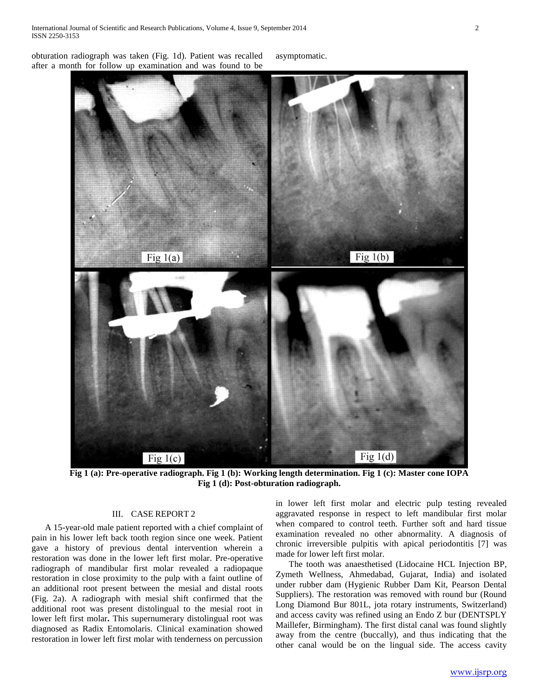obturation radiograph was taken (Fig. 1d). Patient was recalled after a month for follow up examination and was found to be

asymptomatic.



**Fig 1 (a): Pre-operative radiograph. Fig 1 (b): Working length determination. Fig 1 (c): Master cone IOPA Fig 1 (d): Post-obturation radiograph.**

# III. CASE REPORT 2

 A 15-year-old male patient reported with a chief complaint of pain in his lower left back tooth region since one week. Patient gave a history of previous dental intervention wherein a restoration was done in the lower left first molar. Pre-operative radiograph of mandibular first molar revealed a radiopaque restoration in close proximity to the pulp with a faint outline of an additional root present between the mesial and distal roots (Fig. 2a). A radiograph with mesial shift confirmed that the additional root was present distolingual to the mesial root in lower left first molar**.** This supernumerary distolingual root was diagnosed as Radix Entomolaris. Clinical examination showed restoration in lower left first molar with tenderness on percussion

in lower left first molar and electric pulp testing revealed aggravated response in respect to left mandibular first molar when compared to control teeth. Further soft and hard tissue examination revealed no other abnormality. A diagnosis of chronic irreversible pulpitis with apical periodontitis [7] was made for lower left first molar.

 The tooth was anaesthetised (Lidocaine HCL Injection BP, Zymeth Wellness, Ahmedabad, Gujarat, India) and isolated under rubber dam (Hygienic Rubber Dam Kit, Pearson Dental Suppliers). The restoration was removed with round bur (Round Long Diamond Bur 801L, jota rotary instruments, Switzerland) and access cavity was refined using an Endo Z bur (DENTSPLY Maillefer, Birmingham). The first distal canal was found slightly away from the centre (buccally), and thus indicating that the other canal would be on the lingual side. The access cavity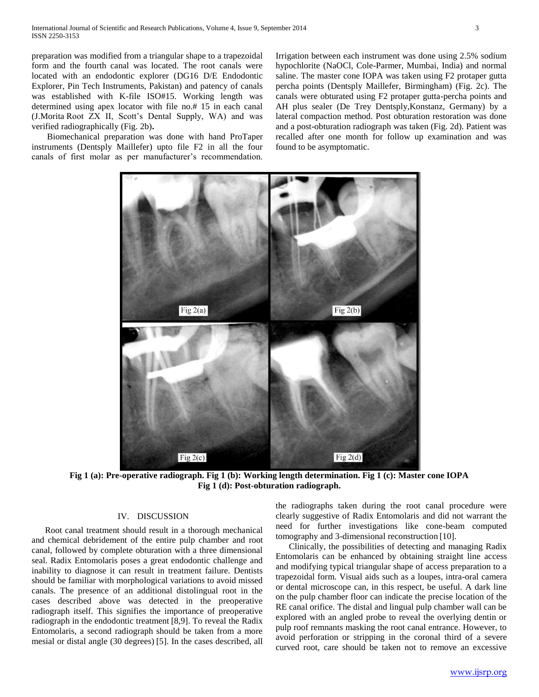preparation was modified from a triangular shape to a trapezoidal form and the fourth canal was located. The root canals were located with an endodontic explorer (DG16 D/E Endodontic Explorer, Pin Tech Instruments, Pakistan) and patency of canals was established with K-file ISO#15. Working length was determined using apex locator with file no.# 15 in each canal (J.Morita Root ZX II, Scott's Dental Supply, WA) and was verified radiographically (Fig. 2b)**.**

 Biomechanical preparation was done with hand ProTaper instruments (Dentsply Maillefer) upto file F2 in all the four canals of first molar as per manufacturer's recommendation.

Irrigation between each instrument was done using 2.5% sodium hypochlorite (NaOCl, Cole-Parmer, Mumbai, India) and normal saline. The master cone IOPA was taken using F2 protaper gutta percha points (Dentsply Maillefer, Birmingham) (Fig. 2c). The canals were obturated using F2 protaper gutta-percha points and AH plus sealer (De Trey Dentsply,Konstanz, Germany) by a lateral compaction method. Post obturation restoration was done and a post-obturation radiograph was taken (Fig. 2d). Patient was recalled after one month for follow up examination and was found to be asymptomatic.



**Fig 1 (a): Pre-operative radiograph. Fig 1 (b): Working length determination. Fig 1 (c): Master cone IOPA Fig 1 (d): Post-obturation radiograph.**

#### IV. DISCUSSION

 Root canal treatment should result in a thorough mechanical and chemical debridement of the entire pulp chamber and root canal, followed by complete obturation with a three dimensional seal. Radix Entomolaris poses a great endodontic challenge and inability to diagnose it can result in treatment failure. Dentists should be familiar with morphological variations to avoid missed canals. The presence of an additional distolingual root in the cases described above was detected in the preoperative radiograph itself. This signifies the importance of preoperative radiograph in the endodontic treatment [8,9]. To reveal the Radix Entomolaris, a second radiograph should be taken from a more mesial or distal angle (30 degrees) [5]. In the cases described, all

the radiographs taken during the root canal procedure were clearly suggestive of Radix Entomolaris and did not warrant the need for further investigations like cone-beam computed tomography and 3-dimensional reconstruction [10].

 Clinically, the possibilities of detecting and managing Radix Entomolaris can be enhanced by obtaining straight line access and modifying typical triangular shape of access preparation to a trapezoidal form. Visual aids such as a loupes, intra-oral camera or dental microscope can, in this respect, be useful. A dark line on the pulp chamber floor can indicate the precise location of the RE canal orifice. The distal and lingual pulp chamber wall can be explored with an angled probe to reveal the overlying dentin or pulp roof remnants masking the root canal entrance. However, to avoid perforation or stripping in the coronal third of a severe curved root, care should be taken not to remove an excessive